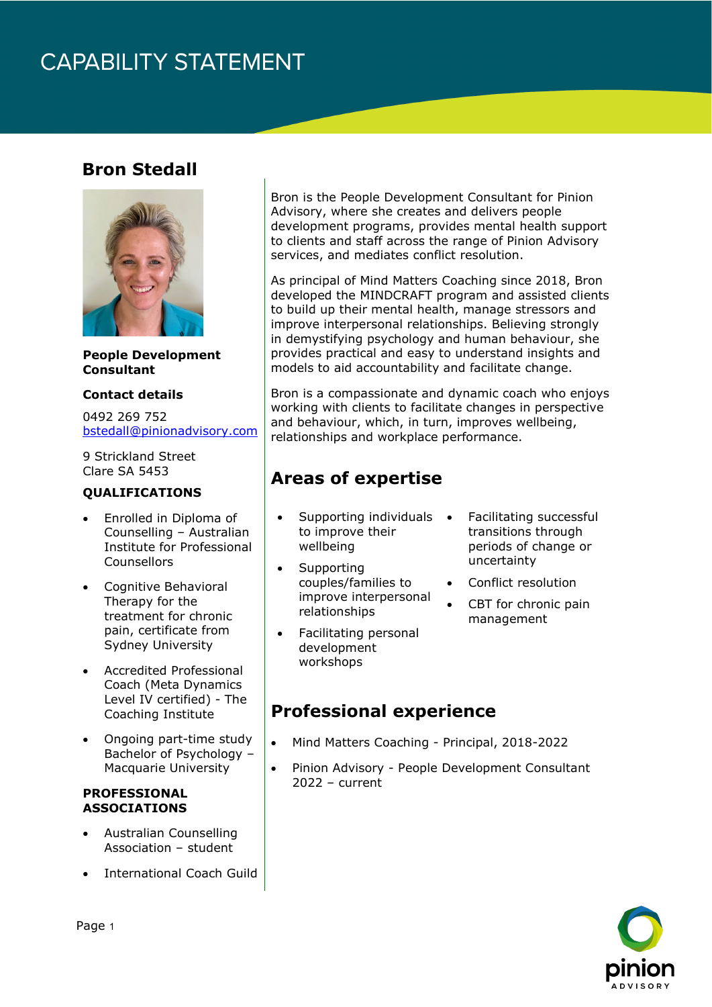## **CAPABILITY STATEMENT**

### **Bron Stedall**



**People Development Consultant**

#### **Contact details**

0492 269 752 [bstedall@pinionadvisory.com](mailto:bstedall@pinionadvisory.com)

9 Strickland Street Clare SA 5453

#### **QUALIFICATIONS**

- Enrolled in Diploma of Counselling – Australian Institute for Professional Counsellors
- Cognitive Behavioral Therapy for the treatment for chronic pain, certificate from Sydney University
- Accredited Professional Coach (Meta Dynamics Level IV certified) - The Coaching Institute
- Ongoing part-time study Bachelor of Psychology – Macquarie University

#### **PROFESSIONAL ASSOCIATIONS**

- Australian Counselling Association – student
- International Coach Guild

Bron is the People Development Consultant for Pinion Advisory, where she creates and delivers people development programs, provides mental health support to clients and staff across the range of Pinion Advisory services, and mediates conflict resolution.

As principal of Mind Matters Coaching since 2018, Bron developed the MINDCRAFT program and assisted clients to build up their mental health, manage stressors and improve interpersonal relationships. Believing strongly in demystifying psychology and human behaviour, she provides practical and easy to understand insights and models to aid accountability and facilitate change.

Bron is a compassionate and dynamic coach who enjoys working with clients to facilitate changes in perspective and behaviour, which, in turn, improves wellbeing, relationships and workplace performance.

## **Areas of expertise**

- Supporting individuals to improve their wellbeing
- Supporting couples/families to improve interpersonal relationships
- Facilitating personal development workshops
- Facilitating successful transitions through periods of change or uncertainty
- Conflict resolution
- CBT for chronic pain management

### **Professional experience**

- Mind Matters Coaching Principal, 2018-2022
- Pinion Advisory People Development Consultant 2022 – current